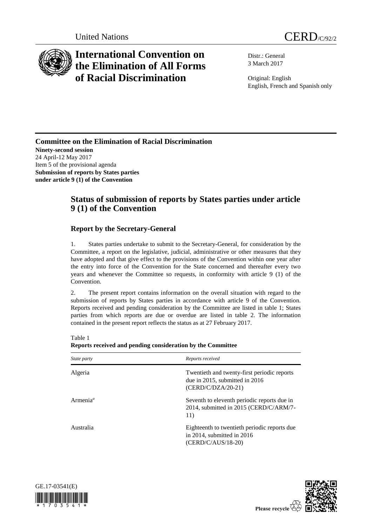

## **International Convention on the Elimination of All Forms of Racial Discrimination**

Distr.: General 3 March 2017

Original: English English, French and Spanish only

**Committee on the Elimination of Racial Discrimination Ninety-second session** 24 April-12 May 2017 Item 5 of the provisional agenda **Submission of reports by States parties under article 9 (1) of the Convention**

## **Status of submission of reports by States parties under article 9 (1) of the Convention**

## **Report by the Secretary-General**

1. States parties undertake to submit to the Secretary-General, for consideration by the Committee, a report on the legislative, judicial, administrative or other measures that they have adopted and that give effect to the provisions of the Convention within one year after the entry into force of the Convention for the State concerned and thereafter every two years and whenever the Committee so requests, in conformity with article 9 (1) of the Convention.

2. The present report contains information on the overall situation with regard to the submission of reports by States parties in accordance with article 9 of the Convention. Reports received and pending consideration by the Committee are listed in table 1; States parties from which reports are due or overdue are listed in table 2. The information contained in the present report reflects the status as at 27 February 2017.

| <i>State party</i>   | Reports received                                                                                           |
|----------------------|------------------------------------------------------------------------------------------------------------|
| Algeria              | Twentieth and twenty-first periodic reports<br>due in $2015$ , submitted in $2016$<br>$(CERD/C/DZA/20-21)$ |
| Armenia <sup>a</sup> | Seventh to eleventh periodic reports due in<br>2014, submitted in 2015 (CERD/C/ARM/7-<br>11)               |
| Australia            | Eighteenth to twentieth periodic reports due<br>in 2014, submitted in $2016$<br>$(CERD/C/AUS/18-20)$       |

Table 1 **Reports received and pending consideration by the Committee**



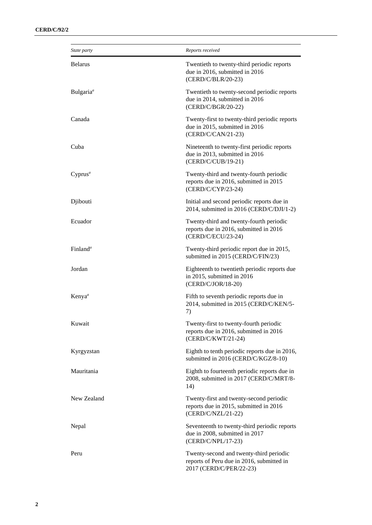| State party           | Reports received                                                                                                |
|-----------------------|-----------------------------------------------------------------------------------------------------------------|
| <b>Belarus</b>        | Twentieth to twenty-third periodic reports<br>due in 2016, submitted in 2016<br>(CERD/C/BLR/20-23)              |
| Bulgaria <sup>a</sup> | Twentieth to twenty-second periodic reports<br>due in 2014, submitted in 2016<br>(CERD/C/BGR/20-22)             |
| Canada                | Twenty-first to twenty-third periodic reports<br>due in 2015, submitted in 2016<br>(CERD/C/CAN/21-23)           |
| Cuba                  | Nineteenth to twenty-first periodic reports<br>due in 2013, submitted in 2016<br>(CERD/C/CUB/19-21)             |
| $Cyprus^a$            | Twenty-third and twenty-fourth periodic<br>reports due in 2016, submitted in 2015<br>(CERD/C/CYP/23-24)         |
| Djibouti              | Initial and second periodic reports due in<br>2014, submitted in 2016 (CERD/C/DJI/1-2)                          |
| Ecuador               | Twenty-third and twenty-fourth periodic<br>reports due in 2016, submitted in 2016<br>(CERD/C/ECU/23-24)         |
| Finland <sup>a</sup>  | Twenty-third periodic report due in 2015,<br>submitted in 2015 (CERD/C/FIN/23)                                  |
| Jordan                | Eighteenth to twentieth periodic reports due<br>in 2015, submitted in 2016<br>(CERD/C/JOR/18-20)                |
| Kenya <sup>a</sup>    | Fifth to seventh periodic reports due in<br>2014, submitted in 2015 (CERD/C/KEN/5-<br>7)                        |
| Kuwait                | Twenty-first to twenty-fourth periodic<br>reports due in 2016, submitted in 2016<br>(CERD/C/KWT/21-24)          |
| Kyrgyzstan            | Eighth to tenth periodic reports due in 2016,<br>submitted in 2016 (CERD/C/KGZ/8-10)                            |
| Mauritania            | Eighth to fourteenth periodic reports due in<br>2008, submitted in 2017 (CERD/C/MRT/8-<br>14)                   |
| New Zealand           | Twenty-first and twenty-second periodic<br>reports due in 2015, submitted in 2016<br>(CERD/C/NZL/21-22)         |
| Nepal                 | Seventeenth to twenty-third periodic reports<br>due in 2008, submitted in 2017<br>(CERD/C/NPL/17-23)            |
| Peru                  | Twenty-second and twenty-third periodic<br>reports of Peru due in 2016, submitted in<br>2017 (CERD/C/PER/22-23) |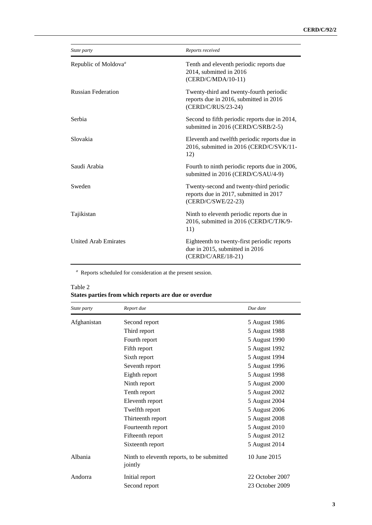| State party                      | Reports received                                                                                        |
|----------------------------------|---------------------------------------------------------------------------------------------------------|
| Republic of Moldova <sup>a</sup> | Tenth and eleventh periodic reports due<br>2014, submitted in 2016<br>(CERD/C/MDA/10-11)                |
| <b>Russian Federation</b>        | Twenty-third and twenty-fourth periodic<br>reports due in 2016, submitted in 2016<br>(CERD/C/RUS/23-24) |
| Serbia                           | Second to fifth periodic reports due in 2014,<br>submitted in 2016 (CERD/C/SRB/2-5)                     |
| Slovakia                         | Eleventh and twelfth periodic reports due in<br>2016, submitted in 2016 (CERD/C/SVK/11-<br>12)          |
| Saudi Arabia                     | Fourth to ninth periodic reports due in 2006,<br>submitted in 2016 (CERD/C/SAU/4-9)                     |
| Sweden                           | Twenty-second and twenty-third periodic<br>reports due in 2017, submitted in 2017<br>(CERD/C/SWE/22-23) |
| Tajikistan                       | Ninth to eleventh periodic reports due in<br>2016, submitted in 2016 (CERD/C/TJK/9-<br>11)              |
| <b>United Arab Emirates</b>      | Eighteenth to twenty-first periodic reports<br>due in 2015, submitted in 2016<br>(CERD/C/ARE/18-21)     |

*a* Reports scheduled for consideration at the present session.

| Table 2 | States parties from which reports are due or overdue |  |  |  |
|---------|------------------------------------------------------|--|--|--|
|         |                                                      |  |  |  |

| State party | Report due                                            | Due date        |
|-------------|-------------------------------------------------------|-----------------|
| Afghanistan | Second report                                         | 5 August 1986   |
|             | Third report                                          | 5 August 1988   |
|             | Fourth report                                         | 5 August 1990   |
|             | Fifth report                                          | 5 August 1992   |
|             | Sixth report                                          | 5 August 1994   |
|             | Seventh report                                        | 5 August 1996   |
|             | Eighth report                                         | 5 August 1998   |
|             | Ninth report                                          | 5 August 2000   |
|             | Tenth report                                          | 5 August 2002   |
|             | Eleventh report                                       | 5 August 2004   |
|             | Twelfth report                                        | 5 August 2006   |
|             | Thirteenth report                                     | 5 August 2008   |
|             | Fourteenth report                                     | 5 August 2010   |
|             | Fifteenth report                                      | 5 August 2012   |
|             | Sixteenth report                                      | 5 August 2014   |
| Albania     | Ninth to eleventh reports, to be submitted<br>jointly | 10 June 2015    |
| Andorra     | Initial report                                        | 22 October 2007 |
|             | Second report                                         | 23 October 2009 |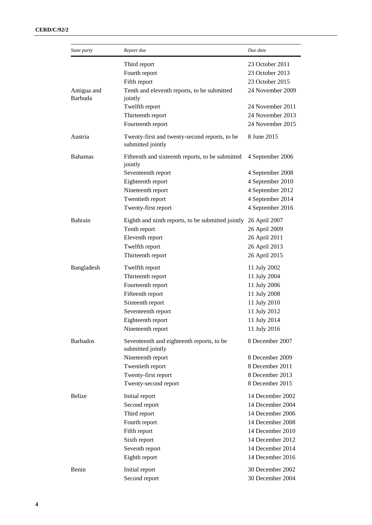| State party            | Report due                                                         | Due date         |
|------------------------|--------------------------------------------------------------------|------------------|
|                        | Third report                                                       | 23 October 2011  |
|                        | Fourth report                                                      | 23 October 2013  |
|                        | Fifth report                                                       | 23 October 2015  |
| Antigua and<br>Barbuda | Tenth and eleventh reports, to be submitted<br>jointly             | 24 November 2009 |
|                        | Twelfth report                                                     | 24 November 2011 |
|                        | Thirteenth report                                                  | 24 November 2013 |
|                        | Fourteenth report                                                  | 24 November 2015 |
| Austria                | Twenty-first and twenty-second reports, to be<br>submitted jointly | 8 June 2015      |
| <b>Bahamas</b>         | Fifteenth and sixteenth reports, to be submitted<br>jointly        | 4 September 2006 |
|                        | Seventeenth report                                                 | 4 September 2008 |
|                        | Eighteenth report                                                  | 4 September 2010 |
|                        | Nineteenth report                                                  | 4 September 2012 |
|                        | Twentieth report                                                   | 4 September 2014 |
|                        | Twenty-first report                                                | 4 September 2016 |
| Bahrain                | Eighth and ninth reports, to be submitted jointly                  | 26 April 2007    |
|                        | Tenth report                                                       | 26 April 2009    |
|                        | Eleventh report                                                    | 26 April 2011    |
|                        | Twelfth report                                                     | 26 April 2013    |
|                        | Thirteenth report                                                  | 26 April 2015    |
| Bangladesh             | Twelfth report                                                     | 11 July 2002     |
|                        | Thirteenth report                                                  | 11 July 2004     |
|                        | Fourteenth report                                                  | 11 July 2006     |
|                        | Fifteenth report                                                   | 11 July 2008     |
|                        | Sixteenth report                                                   | 11 July 2010     |
|                        | Seventeenth report                                                 | 11 July 2012     |
|                        | Eighteenth report                                                  | 11 July 2014     |
|                        | Nineteenth report                                                  | 11 July 2016     |
| <b>Barbados</b>        | Seventeenth and eighteenth reports, to be<br>submitted jointly     | 8 December 2007  |
|                        | Nineteenth report                                                  | 8 December 2009  |
|                        | Twentieth report                                                   | 8 December 2011  |
|                        | Twenty-first report                                                | 8 December 2013  |
|                        | Twenty-second report                                               | 8 December 2015  |
| Belize                 | Initial report                                                     | 14 December 2002 |
|                        | Second report                                                      | 14 December 2004 |
|                        | Third report                                                       | 14 December 2006 |
|                        | Fourth report                                                      | 14 December 2008 |
|                        | Fifth report                                                       | 14 December 2010 |
|                        | Sixth report                                                       | 14 December 2012 |
|                        | Seventh report                                                     | 14 December 2014 |
|                        | Eighth report                                                      | 14 December 2016 |
| Benin                  | Initial report                                                     | 30 December 2002 |
|                        | Second report                                                      | 30 December 2004 |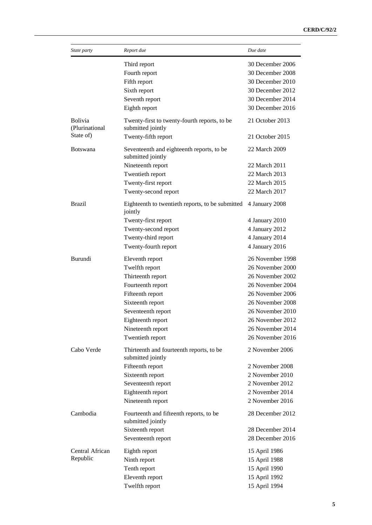| State party                      | Report due                                                        | Due date         |
|----------------------------------|-------------------------------------------------------------------|------------------|
|                                  | Third report                                                      | 30 December 2006 |
|                                  | Fourth report                                                     | 30 December 2008 |
|                                  | Fifth report                                                      | 30 December 2010 |
|                                  | Sixth report                                                      | 30 December 2012 |
|                                  | Seventh report                                                    | 30 December 2014 |
|                                  | Eighth report                                                     | 30 December 2016 |
| <b>Bolivia</b><br>(Plurinational | Twenty-first to twenty-fourth reports, to be<br>submitted jointly | 21 October 2013  |
| State of)                        | Twenty-fifth report                                               | 21 October 2015  |
| <b>Botswana</b>                  | Seventeenth and eighteenth reports, to be<br>submitted jointly    | 22 March 2009    |
|                                  | Nineteenth report                                                 | 22 March 2011    |
|                                  | Twentieth report                                                  | 22 March 2013    |
|                                  | Twenty-first report                                               | 22 March 2015    |
|                                  | Twenty-second report                                              | 22 March 2017    |
| <b>Brazil</b>                    | Eighteenth to twentieth reports, to be submitted<br>jointly       | 4 January 2008   |
|                                  | Twenty-first report                                               | 4 January 2010   |
|                                  | Twenty-second report                                              | 4 January 2012   |
|                                  | Twenty-third report                                               | 4 January 2014   |
|                                  | Twenty-fourth report                                              | 4 January 2016   |
| Burundi                          | Eleventh report                                                   | 26 November 1998 |
|                                  | Twelfth report                                                    | 26 November 2000 |
|                                  | Thirteenth report                                                 | 26 November 2002 |
|                                  | Fourteenth report                                                 | 26 November 2004 |
|                                  | Fifteenth report                                                  | 26 November 2006 |
|                                  | Sixteenth report                                                  | 26 November 2008 |
|                                  | Seventeenth report                                                | 26 November 2010 |
|                                  | Eighteenth report                                                 | 26 November 2012 |
|                                  | Nineteenth report                                                 | 26 November 2014 |
|                                  | Twentieth report                                                  | 26 November 2016 |
|                                  |                                                                   |                  |
| Cabo Verde                       | Thirteenth and fourteenth reports, to be<br>submitted jointly     | 2 November 2006  |
|                                  | Fifteenth report                                                  | 2 November 2008  |
|                                  | Sixteenth report                                                  | 2 November 2010  |
|                                  | Seventeenth report                                                | 2 November 2012  |
|                                  | Eighteenth report                                                 | 2 November 2014  |
|                                  | Nineteenth report                                                 | 2 November 2016  |
| Cambodia                         | Fourteenth and fifteenth reports, to be<br>submitted jointly      | 28 December 2012 |
|                                  | Sixteenth report                                                  | 28 December 2014 |
|                                  | Seventeenth report                                                | 28 December 2016 |
| Central African                  | Eighth report                                                     | 15 April 1986    |
| Republic                         | Ninth report                                                      | 15 April 1988    |
|                                  | Tenth report                                                      | 15 April 1990    |
|                                  | Eleventh report                                                   | 15 April 1992    |
|                                  | Twelfth report                                                    | 15 April 1994    |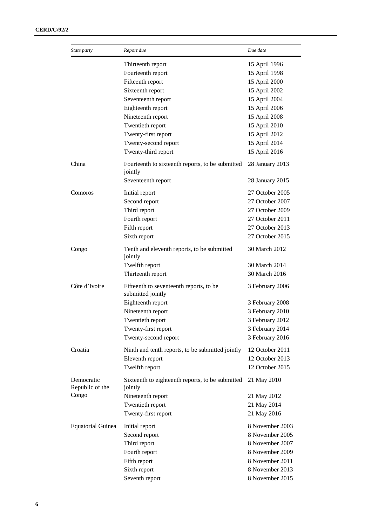| State party                   | Report due                                                   | Due date        |
|-------------------------------|--------------------------------------------------------------|-----------------|
|                               | Thirteenth report                                            | 15 April 1996   |
|                               | Fourteenth report                                            | 15 April 1998   |
|                               | Fifteenth report                                             | 15 April 2000   |
|                               | Sixteenth report                                             | 15 April 2002   |
|                               | Seventeenth report                                           | 15 April 2004   |
|                               | Eighteenth report                                            | 15 April 2006   |
|                               | Nineteenth report                                            | 15 April 2008   |
|                               | Twentieth report                                             | 15 April 2010   |
|                               | Twenty-first report                                          | 15 April 2012   |
|                               | Twenty-second report                                         | 15 April 2014   |
|                               | Twenty-third report                                          | 15 April 2016   |
| China                         | Fourteenth to sixteenth reports, to be submitted<br>jointly  | 28 January 2013 |
|                               | Seventeenth report                                           | 28 January 2015 |
| Comoros                       | Initial report                                               | 27 October 2005 |
|                               | Second report                                                | 27 October 2007 |
|                               | Third report                                                 | 27 October 2009 |
|                               | Fourth report                                                | 27 October 2011 |
|                               | Fifth report                                                 | 27 October 2013 |
|                               | Sixth report                                                 | 27 October 2015 |
| Congo                         | Tenth and eleventh reports, to be submitted<br>jointly       | 30 March 2012   |
|                               | Twelfth report                                               | 30 March 2014   |
|                               | Thirteenth report                                            | 30 March 2016   |
| Côte d'Ivoire                 | Fifteenth to seventeenth reports, to be<br>submitted jointly | 3 February 2006 |
|                               | Eighteenth report                                            | 3 February 2008 |
|                               | Nineteenth report                                            | 3 February 2010 |
|                               | Twentieth report                                             | 3 February 2012 |
|                               | Twenty-first report                                          | 3 February 2014 |
|                               | Twenty-second report                                         | 3 February 2016 |
| Croatia                       | Ninth and tenth reports, to be submitted jointly             | 12 October 2011 |
|                               | Eleventh report                                              | 12 October 2013 |
|                               | Twelfth report                                               | 12 October 2015 |
| Democratic<br>Republic of the | Sixteenth to eighteenth reports, to be submitted<br>jointly  | 21 May 2010     |
| Congo                         | Nineteenth report                                            | 21 May 2012     |
|                               | Twentieth report                                             | 21 May 2014     |
|                               | Twenty-first report                                          | 21 May 2016     |
| <b>Equatorial Guinea</b>      | Initial report                                               | 8 November 2003 |
|                               | Second report                                                | 8 November 2005 |
|                               | Third report                                                 | 8 November 2007 |
|                               | Fourth report                                                | 8 November 2009 |
|                               | Fifth report                                                 | 8 November 2011 |
|                               | Sixth report                                                 | 8 November 2013 |
|                               | Seventh report                                               | 8 November 2015 |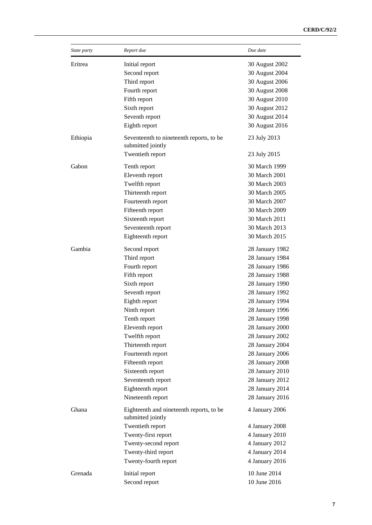| State party | Report due                                                    | Due date        |
|-------------|---------------------------------------------------------------|-----------------|
| Eritrea     | Initial report                                                | 30 August 2002  |
|             | Second report                                                 | 30 August 2004  |
|             | Third report                                                  | 30 August 2006  |
|             | Fourth report                                                 | 30 August 2008  |
|             | Fifth report                                                  | 30 August 2010  |
|             | Sixth report                                                  | 30 August 2012  |
|             | Seventh report                                                | 30 August 2014  |
|             | Eighth report                                                 | 30 August 2016  |
| Ethiopia    | Seventeenth to nineteenth reports, to be<br>submitted jointly | 23 July 2013    |
|             | Twentieth report                                              | 23 July 2015    |
| Gabon       | Tenth report                                                  | 30 March 1999   |
|             | Eleventh report                                               | 30 March 2001   |
|             | Twelfth report                                                | 30 March 2003   |
|             | Thirteenth report                                             | 30 March 2005   |
|             | Fourteenth report                                             | 30 March 2007   |
|             | Fifteenth report                                              | 30 March 2009   |
|             | Sixteenth report                                              | 30 March 2011   |
|             | Seventeenth report                                            | 30 March 2013   |
|             | Eighteenth report                                             | 30 March 2015   |
| Gambia      | Second report                                                 | 28 January 1982 |
|             | Third report                                                  | 28 January 1984 |
|             | Fourth report                                                 | 28 January 1986 |
|             | Fifth report                                                  | 28 January 1988 |
|             | Sixth report                                                  | 28 January 1990 |
|             | Seventh report                                                | 28 January 1992 |
|             | Eighth report                                                 | 28 January 1994 |
|             | Ninth report                                                  | 28 January 1996 |
|             | Tenth report                                                  | 28 January 1998 |
|             | Eleventh report                                               | 28 January 2000 |
|             | Twelfth report                                                | 28 January 2002 |
|             | Thirteenth report                                             | 28 January 2004 |
|             | Fourteenth report                                             | 28 January 2006 |
|             | Fifteenth report                                              | 28 January 2008 |
|             | Sixteenth report                                              | 28 January 2010 |
|             | Seventeenth report                                            | 28 January 2012 |
|             | Eighteenth report                                             | 28 January 2014 |
|             | Nineteenth report                                             | 28 January 2016 |
| Ghana       | Eighteenth and nineteenth reports, to be<br>submitted jointly | 4 January 2006  |
|             | Twentieth report                                              | 4 January 2008  |
|             | Twenty-first report                                           | 4 January 2010  |
|             | Twenty-second report                                          | 4 January 2012  |
|             | Twenty-third report                                           | 4 January 2014  |
|             | Twenty-fourth report                                          | 4 January 2016  |
| Grenada     | Initial report                                                | 10 June 2014    |
|             | Second report                                                 | 10 June 2016    |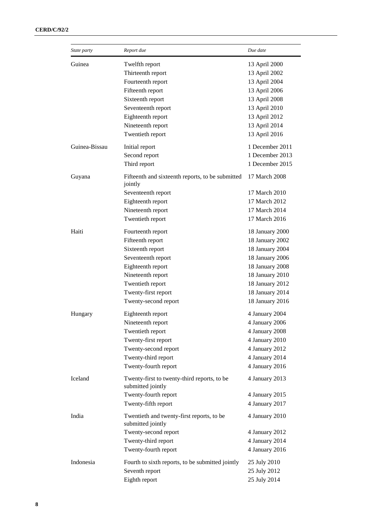| Guinea<br>Twelfth report<br>13 April 2000<br>Thirteenth report<br>13 April 2002<br>Fourteenth report<br>13 April 2004<br>13 April 2006<br>Fifteenth report<br>Sixteenth report<br>13 April 2008<br>13 April 2010<br>Seventeenth report<br>Eighteenth report<br>13 April 2012<br>Nineteenth report<br>13 April 2014<br>Twentieth report<br>13 April 2016<br>Guinea-Bissau<br>1 December 2011<br>Initial report<br>Second report<br>1 December 2013<br>Third report<br>1 December 2015<br>Guyana<br>Fifteenth and sixteenth reports, to be submitted<br>17 March 2008<br>jointly<br>Seventeenth report<br>17 March 2010<br>Eighteenth report<br>17 March 2012<br>17 March 2014<br>Nineteenth report<br>17 March 2016<br>Twentieth report<br>Haiti<br>Fourteenth report<br>18 January 2000<br>Fifteenth report<br>18 January 2002<br>18 January 2004<br>Sixteenth report<br>Seventeenth report<br>18 January 2006<br>Eighteenth report<br>18 January 2008<br>18 January 2010<br>Nineteenth report<br>Twentieth report<br>18 January 2012<br>Twenty-first report<br>18 January 2014<br>18 January 2016<br>Twenty-second report<br>Eighteenth report<br>4 January 2004<br>Hungary<br>Nineteenth report<br>4 January 2006<br>Twentieth report<br>4 January 2008<br>Twenty-first report<br>4 January 2010<br>4 January 2012<br>Twenty-second report<br>4 January 2014<br>Twenty-third report<br>Twenty-fourth report<br>4 January 2016<br>Iceland<br>Twenty-first to twenty-third reports, to be<br>4 January 2013<br>submitted jointly<br>Twenty-fourth report<br>4 January 2015<br>4 January 2017<br>Twenty-fifth report<br>India<br>Twentieth and twenty-first reports, to be<br>4 January 2010<br>submitted jointly<br>Twenty-second report<br>4 January 2012<br>Twenty-third report<br>4 January 2014<br>Twenty-fourth report<br>4 January 2016<br>Indonesia<br>Fourth to sixth reports, to be submitted jointly<br>25 July 2010<br>25 July 2012<br>Seventh report<br>25 July 2014<br>Eighth report | State party | Report due | Due date |
|---------------------------------------------------------------------------------------------------------------------------------------------------------------------------------------------------------------------------------------------------------------------------------------------------------------------------------------------------------------------------------------------------------------------------------------------------------------------------------------------------------------------------------------------------------------------------------------------------------------------------------------------------------------------------------------------------------------------------------------------------------------------------------------------------------------------------------------------------------------------------------------------------------------------------------------------------------------------------------------------------------------------------------------------------------------------------------------------------------------------------------------------------------------------------------------------------------------------------------------------------------------------------------------------------------------------------------------------------------------------------------------------------------------------------------------------------------------------------------------------------------------------------------------------------------------------------------------------------------------------------------------------------------------------------------------------------------------------------------------------------------------------------------------------------------------------------------------------------------------------------------------------------------------------------------------------------------------------------------------------------|-------------|------------|----------|
|                                                                                                                                                                                                                                                                                                                                                                                                                                                                                                                                                                                                                                                                                                                                                                                                                                                                                                                                                                                                                                                                                                                                                                                                                                                                                                                                                                                                                                                                                                                                                                                                                                                                                                                                                                                                                                                                                                                                                                                                   |             |            |          |
|                                                                                                                                                                                                                                                                                                                                                                                                                                                                                                                                                                                                                                                                                                                                                                                                                                                                                                                                                                                                                                                                                                                                                                                                                                                                                                                                                                                                                                                                                                                                                                                                                                                                                                                                                                                                                                                                                                                                                                                                   |             |            |          |
|                                                                                                                                                                                                                                                                                                                                                                                                                                                                                                                                                                                                                                                                                                                                                                                                                                                                                                                                                                                                                                                                                                                                                                                                                                                                                                                                                                                                                                                                                                                                                                                                                                                                                                                                                                                                                                                                                                                                                                                                   |             |            |          |
|                                                                                                                                                                                                                                                                                                                                                                                                                                                                                                                                                                                                                                                                                                                                                                                                                                                                                                                                                                                                                                                                                                                                                                                                                                                                                                                                                                                                                                                                                                                                                                                                                                                                                                                                                                                                                                                                                                                                                                                                   |             |            |          |
|                                                                                                                                                                                                                                                                                                                                                                                                                                                                                                                                                                                                                                                                                                                                                                                                                                                                                                                                                                                                                                                                                                                                                                                                                                                                                                                                                                                                                                                                                                                                                                                                                                                                                                                                                                                                                                                                                                                                                                                                   |             |            |          |
|                                                                                                                                                                                                                                                                                                                                                                                                                                                                                                                                                                                                                                                                                                                                                                                                                                                                                                                                                                                                                                                                                                                                                                                                                                                                                                                                                                                                                                                                                                                                                                                                                                                                                                                                                                                                                                                                                                                                                                                                   |             |            |          |
|                                                                                                                                                                                                                                                                                                                                                                                                                                                                                                                                                                                                                                                                                                                                                                                                                                                                                                                                                                                                                                                                                                                                                                                                                                                                                                                                                                                                                                                                                                                                                                                                                                                                                                                                                                                                                                                                                                                                                                                                   |             |            |          |
|                                                                                                                                                                                                                                                                                                                                                                                                                                                                                                                                                                                                                                                                                                                                                                                                                                                                                                                                                                                                                                                                                                                                                                                                                                                                                                                                                                                                                                                                                                                                                                                                                                                                                                                                                                                                                                                                                                                                                                                                   |             |            |          |
|                                                                                                                                                                                                                                                                                                                                                                                                                                                                                                                                                                                                                                                                                                                                                                                                                                                                                                                                                                                                                                                                                                                                                                                                                                                                                                                                                                                                                                                                                                                                                                                                                                                                                                                                                                                                                                                                                                                                                                                                   |             |            |          |
|                                                                                                                                                                                                                                                                                                                                                                                                                                                                                                                                                                                                                                                                                                                                                                                                                                                                                                                                                                                                                                                                                                                                                                                                                                                                                                                                                                                                                                                                                                                                                                                                                                                                                                                                                                                                                                                                                                                                                                                                   |             |            |          |
|                                                                                                                                                                                                                                                                                                                                                                                                                                                                                                                                                                                                                                                                                                                                                                                                                                                                                                                                                                                                                                                                                                                                                                                                                                                                                                                                                                                                                                                                                                                                                                                                                                                                                                                                                                                                                                                                                                                                                                                                   |             |            |          |
|                                                                                                                                                                                                                                                                                                                                                                                                                                                                                                                                                                                                                                                                                                                                                                                                                                                                                                                                                                                                                                                                                                                                                                                                                                                                                                                                                                                                                                                                                                                                                                                                                                                                                                                                                                                                                                                                                                                                                                                                   |             |            |          |
|                                                                                                                                                                                                                                                                                                                                                                                                                                                                                                                                                                                                                                                                                                                                                                                                                                                                                                                                                                                                                                                                                                                                                                                                                                                                                                                                                                                                                                                                                                                                                                                                                                                                                                                                                                                                                                                                                                                                                                                                   |             |            |          |
|                                                                                                                                                                                                                                                                                                                                                                                                                                                                                                                                                                                                                                                                                                                                                                                                                                                                                                                                                                                                                                                                                                                                                                                                                                                                                                                                                                                                                                                                                                                                                                                                                                                                                                                                                                                                                                                                                                                                                                                                   |             |            |          |
|                                                                                                                                                                                                                                                                                                                                                                                                                                                                                                                                                                                                                                                                                                                                                                                                                                                                                                                                                                                                                                                                                                                                                                                                                                                                                                                                                                                                                                                                                                                                                                                                                                                                                                                                                                                                                                                                                                                                                                                                   |             |            |          |
|                                                                                                                                                                                                                                                                                                                                                                                                                                                                                                                                                                                                                                                                                                                                                                                                                                                                                                                                                                                                                                                                                                                                                                                                                                                                                                                                                                                                                                                                                                                                                                                                                                                                                                                                                                                                                                                                                                                                                                                                   |             |            |          |
|                                                                                                                                                                                                                                                                                                                                                                                                                                                                                                                                                                                                                                                                                                                                                                                                                                                                                                                                                                                                                                                                                                                                                                                                                                                                                                                                                                                                                                                                                                                                                                                                                                                                                                                                                                                                                                                                                                                                                                                                   |             |            |          |
|                                                                                                                                                                                                                                                                                                                                                                                                                                                                                                                                                                                                                                                                                                                                                                                                                                                                                                                                                                                                                                                                                                                                                                                                                                                                                                                                                                                                                                                                                                                                                                                                                                                                                                                                                                                                                                                                                                                                                                                                   |             |            |          |
|                                                                                                                                                                                                                                                                                                                                                                                                                                                                                                                                                                                                                                                                                                                                                                                                                                                                                                                                                                                                                                                                                                                                                                                                                                                                                                                                                                                                                                                                                                                                                                                                                                                                                                                                                                                                                                                                                                                                                                                                   |             |            |          |
|                                                                                                                                                                                                                                                                                                                                                                                                                                                                                                                                                                                                                                                                                                                                                                                                                                                                                                                                                                                                                                                                                                                                                                                                                                                                                                                                                                                                                                                                                                                                                                                                                                                                                                                                                                                                                                                                                                                                                                                                   |             |            |          |
|                                                                                                                                                                                                                                                                                                                                                                                                                                                                                                                                                                                                                                                                                                                                                                                                                                                                                                                                                                                                                                                                                                                                                                                                                                                                                                                                                                                                                                                                                                                                                                                                                                                                                                                                                                                                                                                                                                                                                                                                   |             |            |          |
|                                                                                                                                                                                                                                                                                                                                                                                                                                                                                                                                                                                                                                                                                                                                                                                                                                                                                                                                                                                                                                                                                                                                                                                                                                                                                                                                                                                                                                                                                                                                                                                                                                                                                                                                                                                                                                                                                                                                                                                                   |             |            |          |
|                                                                                                                                                                                                                                                                                                                                                                                                                                                                                                                                                                                                                                                                                                                                                                                                                                                                                                                                                                                                                                                                                                                                                                                                                                                                                                                                                                                                                                                                                                                                                                                                                                                                                                                                                                                                                                                                                                                                                                                                   |             |            |          |
|                                                                                                                                                                                                                                                                                                                                                                                                                                                                                                                                                                                                                                                                                                                                                                                                                                                                                                                                                                                                                                                                                                                                                                                                                                                                                                                                                                                                                                                                                                                                                                                                                                                                                                                                                                                                                                                                                                                                                                                                   |             |            |          |
|                                                                                                                                                                                                                                                                                                                                                                                                                                                                                                                                                                                                                                                                                                                                                                                                                                                                                                                                                                                                                                                                                                                                                                                                                                                                                                                                                                                                                                                                                                                                                                                                                                                                                                                                                                                                                                                                                                                                                                                                   |             |            |          |
|                                                                                                                                                                                                                                                                                                                                                                                                                                                                                                                                                                                                                                                                                                                                                                                                                                                                                                                                                                                                                                                                                                                                                                                                                                                                                                                                                                                                                                                                                                                                                                                                                                                                                                                                                                                                                                                                                                                                                                                                   |             |            |          |
|                                                                                                                                                                                                                                                                                                                                                                                                                                                                                                                                                                                                                                                                                                                                                                                                                                                                                                                                                                                                                                                                                                                                                                                                                                                                                                                                                                                                                                                                                                                                                                                                                                                                                                                                                                                                                                                                                                                                                                                                   |             |            |          |
|                                                                                                                                                                                                                                                                                                                                                                                                                                                                                                                                                                                                                                                                                                                                                                                                                                                                                                                                                                                                                                                                                                                                                                                                                                                                                                                                                                                                                                                                                                                                                                                                                                                                                                                                                                                                                                                                                                                                                                                                   |             |            |          |
|                                                                                                                                                                                                                                                                                                                                                                                                                                                                                                                                                                                                                                                                                                                                                                                                                                                                                                                                                                                                                                                                                                                                                                                                                                                                                                                                                                                                                                                                                                                                                                                                                                                                                                                                                                                                                                                                                                                                                                                                   |             |            |          |
|                                                                                                                                                                                                                                                                                                                                                                                                                                                                                                                                                                                                                                                                                                                                                                                                                                                                                                                                                                                                                                                                                                                                                                                                                                                                                                                                                                                                                                                                                                                                                                                                                                                                                                                                                                                                                                                                                                                                                                                                   |             |            |          |
|                                                                                                                                                                                                                                                                                                                                                                                                                                                                                                                                                                                                                                                                                                                                                                                                                                                                                                                                                                                                                                                                                                                                                                                                                                                                                                                                                                                                                                                                                                                                                                                                                                                                                                                                                                                                                                                                                                                                                                                                   |             |            |          |
|                                                                                                                                                                                                                                                                                                                                                                                                                                                                                                                                                                                                                                                                                                                                                                                                                                                                                                                                                                                                                                                                                                                                                                                                                                                                                                                                                                                                                                                                                                                                                                                                                                                                                                                                                                                                                                                                                                                                                                                                   |             |            |          |
|                                                                                                                                                                                                                                                                                                                                                                                                                                                                                                                                                                                                                                                                                                                                                                                                                                                                                                                                                                                                                                                                                                                                                                                                                                                                                                                                                                                                                                                                                                                                                                                                                                                                                                                                                                                                                                                                                                                                                                                                   |             |            |          |
|                                                                                                                                                                                                                                                                                                                                                                                                                                                                                                                                                                                                                                                                                                                                                                                                                                                                                                                                                                                                                                                                                                                                                                                                                                                                                                                                                                                                                                                                                                                                                                                                                                                                                                                                                                                                                                                                                                                                                                                                   |             |            |          |
|                                                                                                                                                                                                                                                                                                                                                                                                                                                                                                                                                                                                                                                                                                                                                                                                                                                                                                                                                                                                                                                                                                                                                                                                                                                                                                                                                                                                                                                                                                                                                                                                                                                                                                                                                                                                                                                                                                                                                                                                   |             |            |          |
|                                                                                                                                                                                                                                                                                                                                                                                                                                                                                                                                                                                                                                                                                                                                                                                                                                                                                                                                                                                                                                                                                                                                                                                                                                                                                                                                                                                                                                                                                                                                                                                                                                                                                                                                                                                                                                                                                                                                                                                                   |             |            |          |
|                                                                                                                                                                                                                                                                                                                                                                                                                                                                                                                                                                                                                                                                                                                                                                                                                                                                                                                                                                                                                                                                                                                                                                                                                                                                                                                                                                                                                                                                                                                                                                                                                                                                                                                                                                                                                                                                                                                                                                                                   |             |            |          |
|                                                                                                                                                                                                                                                                                                                                                                                                                                                                                                                                                                                                                                                                                                                                                                                                                                                                                                                                                                                                                                                                                                                                                                                                                                                                                                                                                                                                                                                                                                                                                                                                                                                                                                                                                                                                                                                                                                                                                                                                   |             |            |          |
|                                                                                                                                                                                                                                                                                                                                                                                                                                                                                                                                                                                                                                                                                                                                                                                                                                                                                                                                                                                                                                                                                                                                                                                                                                                                                                                                                                                                                                                                                                                                                                                                                                                                                                                                                                                                                                                                                                                                                                                                   |             |            |          |
|                                                                                                                                                                                                                                                                                                                                                                                                                                                                                                                                                                                                                                                                                                                                                                                                                                                                                                                                                                                                                                                                                                                                                                                                                                                                                                                                                                                                                                                                                                                                                                                                                                                                                                                                                                                                                                                                                                                                                                                                   |             |            |          |
|                                                                                                                                                                                                                                                                                                                                                                                                                                                                                                                                                                                                                                                                                                                                                                                                                                                                                                                                                                                                                                                                                                                                                                                                                                                                                                                                                                                                                                                                                                                                                                                                                                                                                                                                                                                                                                                                                                                                                                                                   |             |            |          |
|                                                                                                                                                                                                                                                                                                                                                                                                                                                                                                                                                                                                                                                                                                                                                                                                                                                                                                                                                                                                                                                                                                                                                                                                                                                                                                                                                                                                                                                                                                                                                                                                                                                                                                                                                                                                                                                                                                                                                                                                   |             |            |          |
|                                                                                                                                                                                                                                                                                                                                                                                                                                                                                                                                                                                                                                                                                                                                                                                                                                                                                                                                                                                                                                                                                                                                                                                                                                                                                                                                                                                                                                                                                                                                                                                                                                                                                                                                                                                                                                                                                                                                                                                                   |             |            |          |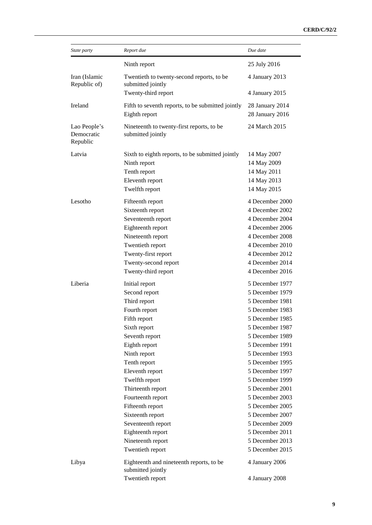| State party                            | Report due                                                                                                                                                                                                                                                                                                                                                                     | Due date                                                                                                                                                                                                                                                                                                                                                                                 |
|----------------------------------------|--------------------------------------------------------------------------------------------------------------------------------------------------------------------------------------------------------------------------------------------------------------------------------------------------------------------------------------------------------------------------------|------------------------------------------------------------------------------------------------------------------------------------------------------------------------------------------------------------------------------------------------------------------------------------------------------------------------------------------------------------------------------------------|
|                                        | Ninth report                                                                                                                                                                                                                                                                                                                                                                   | 25 July 2016                                                                                                                                                                                                                                                                                                                                                                             |
| Iran (Islamic<br>Republic of)          | Twentieth to twenty-second reports, to be<br>submitted jointly                                                                                                                                                                                                                                                                                                                 | 4 January 2013                                                                                                                                                                                                                                                                                                                                                                           |
|                                        | Twenty-third report                                                                                                                                                                                                                                                                                                                                                            | 4 January 2015                                                                                                                                                                                                                                                                                                                                                                           |
| Ireland                                | Fifth to seventh reports, to be submitted jointly<br>Eighth report                                                                                                                                                                                                                                                                                                             | 28 January 2014<br>28 January 2016                                                                                                                                                                                                                                                                                                                                                       |
| Lao People's<br>Democratic<br>Republic | Nineteenth to twenty-first reports, to be<br>submitted jointly                                                                                                                                                                                                                                                                                                                 | 24 March 2015                                                                                                                                                                                                                                                                                                                                                                            |
| Latvia                                 | Sixth to eighth reports, to be submitted jointly<br>Ninth report<br>Tenth report<br>Eleventh report<br>Twelfth report                                                                                                                                                                                                                                                          | 14 May 2007<br>14 May 2009<br>14 May 2011<br>14 May 2013<br>14 May 2015                                                                                                                                                                                                                                                                                                                  |
| Lesotho                                | Fifteenth report<br>Sixteenth report<br>Seventeenth report<br>Eighteenth report<br>Nineteenth report<br>Twentieth report<br>Twenty-first report<br>Twenty-second report<br>Twenty-third report                                                                                                                                                                                 | 4 December 2000<br>4 December 2002<br>4 December 2004<br>4 December 2006<br>4 December 2008<br>4 December 2010<br>4 December 2012<br>4 December 2014<br>4 December 2016                                                                                                                                                                                                                  |
| Liberia                                | Initial report<br>Second report<br>Third report<br>Fourth report<br>Fifth report<br>Sixth report<br>Seventh report<br>Eighth report<br>Ninth report<br>Tenth report<br>Eleventh report<br>Twelfth report<br>Thirteenth report<br>Fourteenth report<br>Fifteenth report<br>Sixteenth report<br>Seventeenth report<br>Eighteenth report<br>Nineteenth report<br>Twentieth report | 5 December 1977<br>5 December 1979<br>5 December 1981<br>5 December 1983<br>5 December 1985<br>5 December 1987<br>5 December 1989<br>5 December 1991<br>5 December 1993<br>5 December 1995<br>5 December 1997<br>5 December 1999<br>5 December 2001<br>5 December 2003<br>5 December 2005<br>5 December 2007<br>5 December 2009<br>5 December 2011<br>5 December 2013<br>5 December 2015 |
| Libya                                  | Eighteenth and nineteenth reports, to be<br>submitted jointly<br>Twentieth report                                                                                                                                                                                                                                                                                              | 4 January 2006<br>4 January 2008                                                                                                                                                                                                                                                                                                                                                         |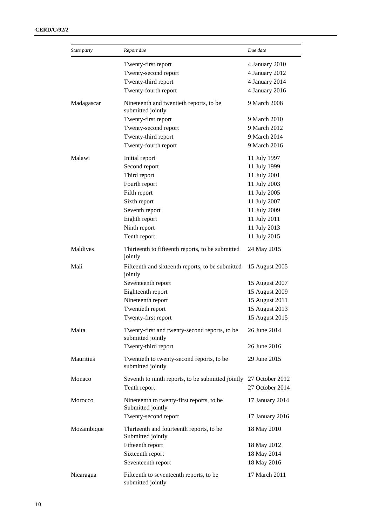| State party | Report due                                                         | Due date        |
|-------------|--------------------------------------------------------------------|-----------------|
|             | Twenty-first report                                                | 4 January 2010  |
|             | Twenty-second report                                               | 4 January 2012  |
|             | Twenty-third report                                                | 4 January 2014  |
|             | Twenty-fourth report                                               | 4 January 2016  |
| Madagascar  | Nineteenth and twentieth reports, to be<br>submitted jointly       | 9 March 2008    |
|             | Twenty-first report                                                | 9 March 2010    |
|             | Twenty-second report                                               | 9 March 2012    |
|             | Twenty-third report                                                | 9 March 2014    |
|             | Twenty-fourth report                                               | 9 March 2016    |
| Malawi      | Initial report                                                     | 11 July 1997    |
|             | Second report                                                      | 11 July 1999    |
|             | Third report                                                       | 11 July 2001    |
|             | Fourth report                                                      | 11 July 2003    |
|             | Fifth report                                                       | 11 July 2005    |
|             | Sixth report                                                       | 11 July 2007    |
|             | Seventh report                                                     | 11 July 2009    |
|             | Eighth report                                                      | 11 July 2011    |
|             | Ninth report                                                       | 11 July 2013    |
|             | Tenth report                                                       | 11 July 2015    |
| Maldives    | Thirteenth to fifteenth reports, to be submitted<br>jointly        | 24 May 2015     |
| Mali        | Fifteenth and sixteenth reports, to be submitted<br>jointly        | 15 August 2005  |
|             | Seventeenth report                                                 | 15 August 2007  |
|             | Eighteenth report                                                  | 15 August 2009  |
|             | Nineteenth report                                                  | 15 August 2011  |
|             | Twentieth report                                                   | 15 August 2013  |
|             | Twenty-first report                                                | 15 August 2015  |
|             |                                                                    |                 |
| Malta       | Twenty-first and twenty-second reports, to be<br>submitted jointly | 26 June 2014    |
|             | Twenty-third report                                                | 26 June 2016    |
| Mauritius   | Twentieth to twenty-second reports, to be<br>submitted jointly     | 29 June 2015    |
| Monaco      | Seventh to ninth reports, to be submitted jointly                  | 27 October 2012 |
|             | Tenth report                                                       | 27 October 2014 |
| Morocco     | Nineteenth to twenty-first reports, to be<br>Submitted jointly     | 17 January 2014 |
|             | Twenty-second report                                               | 17 January 2016 |
| Mozambique  | Thirteenth and fourteenth reports, to be<br>Submitted jointly      | 18 May 2010     |
|             | Fifteenth report                                                   | 18 May 2012     |
|             | Sixteenth report                                                   | 18 May 2014     |
|             | Seventeenth report                                                 | 18 May 2016     |
|             |                                                                    |                 |
| Nicaragua   | Fifteenth to seventeenth reports, to be<br>submitted jointly       | 17 March 2011   |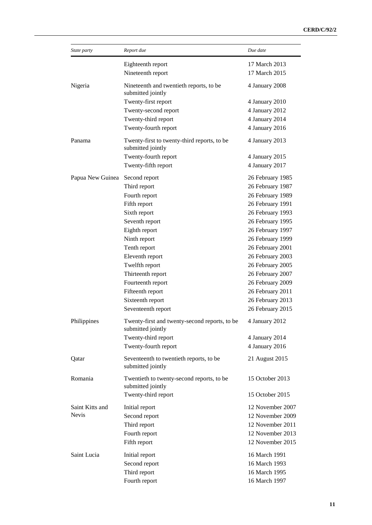| State party      | Report due                                                         | Due date         |
|------------------|--------------------------------------------------------------------|------------------|
|                  | Eighteenth report                                                  | 17 March 2013    |
|                  | Nineteenth report                                                  | 17 March 2015    |
| Nigeria          | Nineteenth and twentieth reports, to be<br>submitted jointly       | 4 January 2008   |
|                  | Twenty-first report                                                | 4 January 2010   |
|                  | Twenty-second report                                               | 4 January 2012   |
|                  | Twenty-third report                                                | 4 January 2014   |
|                  | Twenty-fourth report                                               | 4 January 2016   |
| Panama           | Twenty-first to twenty-third reports, to be<br>submitted jointly   | 4 January 2013   |
|                  | Twenty-fourth report                                               | 4 January 2015   |
|                  | Twenty-fifth report                                                | 4 January 2017   |
| Papua New Guinea | Second report                                                      | 26 February 1985 |
|                  | Third report                                                       | 26 February 1987 |
|                  | Fourth report                                                      | 26 February 1989 |
|                  | Fifth report                                                       | 26 February 1991 |
|                  | Sixth report                                                       | 26 February 1993 |
|                  | Seventh report                                                     | 26 February 1995 |
|                  | Eighth report                                                      | 26 February 1997 |
|                  | Ninth report                                                       | 26 February 1999 |
|                  | Tenth report                                                       | 26 February 2001 |
|                  | Eleventh report                                                    | 26 February 2003 |
|                  | Twelfth report                                                     | 26 February 2005 |
|                  | Thirteenth report                                                  | 26 February 2007 |
|                  | Fourteenth report                                                  | 26 February 2009 |
|                  | Fifteenth report                                                   | 26 February 2011 |
|                  | Sixteenth report                                                   | 26 February 2013 |
|                  | Seventeenth report                                                 | 26 February 2015 |
| Philippines      | Twenty-first and twenty-second reports, to be<br>submitted jointly | 4 January 2012   |
|                  | Twenty-third report                                                | 4 January 2014   |
|                  | Twenty-fourth report                                               | 4 January 2016   |
| Qatar            | Seventeenth to twentieth reports, to be<br>submitted jointly       | 21 August 2015   |
| Romania          | Twentieth to twenty-second reports, to be<br>submitted jointly     | 15 October 2013  |
|                  | Twenty-third report                                                | 15 October 2015  |
| Saint Kitts and  | Initial report                                                     | 12 November 2007 |
| <b>Nevis</b>     | Second report                                                      | 12 November 2009 |
|                  | Third report                                                       | 12 November 2011 |
|                  | Fourth report                                                      | 12 November 2013 |
|                  | Fifth report                                                       | 12 November 2015 |
| Saint Lucia      | Initial report                                                     | 16 March 1991    |
|                  | Second report                                                      | 16 March 1993    |
|                  | Third report                                                       | 16 March 1995    |
|                  | Fourth report                                                      | 16 March 1997    |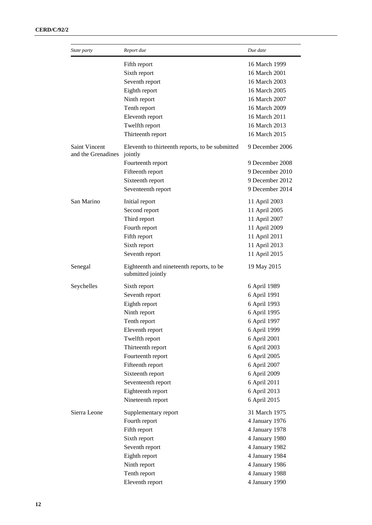| State party                         | Report due                                                    | Due date        |
|-------------------------------------|---------------------------------------------------------------|-----------------|
|                                     | Fifth report                                                  | 16 March 1999   |
|                                     | Sixth report                                                  | 16 March 2001   |
|                                     | Seventh report                                                | 16 March 2003   |
|                                     | Eighth report                                                 | 16 March 2005   |
|                                     | Ninth report                                                  | 16 March 2007   |
|                                     | Tenth report                                                  | 16 March 2009   |
|                                     | Eleventh report                                               | 16 March 2011   |
|                                     | Twelfth report                                                | 16 March 2013   |
|                                     | Thirteenth report                                             | 16 March 2015   |
| Saint Vincent<br>and the Grenadines | Eleventh to thirteenth reports, to be submitted<br>jointly    | 9 December 2006 |
|                                     | Fourteenth report                                             | 9 December 2008 |
|                                     | Fifteenth report                                              | 9 December 2010 |
|                                     | Sixteenth report                                              | 9 December 2012 |
|                                     | Seventeenth report                                            | 9 December 2014 |
| San Marino                          | Initial report                                                | 11 April 2003   |
|                                     | Second report                                                 | 11 April 2005   |
|                                     | Third report                                                  | 11 April 2007   |
|                                     | Fourth report                                                 | 11 April 2009   |
|                                     | Fifth report                                                  | 11 April 2011   |
|                                     | Sixth report                                                  | 11 April 2013   |
|                                     | Seventh report                                                | 11 April 2015   |
| Senegal                             | Eighteenth and nineteenth reports, to be<br>submitted jointly | 19 May 2015     |
| Seychelles                          | Sixth report                                                  | 6 April 1989    |
|                                     | Seventh report                                                | 6 April 1991    |
|                                     | Eighth report                                                 | 6 April 1993    |
|                                     | Ninth report                                                  | 6 April 1995    |
|                                     | Tenth report                                                  | 6 April 1997    |
|                                     | Eleventh report                                               | 6 April 1999    |
|                                     | Twelfth report                                                | 6 April 2001    |
|                                     | Thirteenth report                                             | 6 April 2003    |
|                                     | Fourteenth report                                             | 6 April 2005    |
|                                     | Fifteenth report                                              | 6 April 2007    |
|                                     | Sixteenth report                                              | 6 April 2009    |
|                                     | Seventeenth report                                            | 6 April 2011    |
|                                     | Eighteenth report                                             | 6 April 2013    |
|                                     | Nineteenth report                                             | 6 April 2015    |
| Sierra Leone                        | Supplementary report                                          | 31 March 1975   |
|                                     | Fourth report                                                 | 4 January 1976  |
|                                     | Fifth report                                                  | 4 January 1978  |
|                                     | Sixth report                                                  | 4 January 1980  |
|                                     | Seventh report                                                | 4 January 1982  |
|                                     | Eighth report                                                 | 4 January 1984  |
|                                     | Ninth report                                                  | 4 January 1986  |
|                                     | Tenth report                                                  | 4 January 1988  |
|                                     | Eleventh report                                               | 4 January 1990  |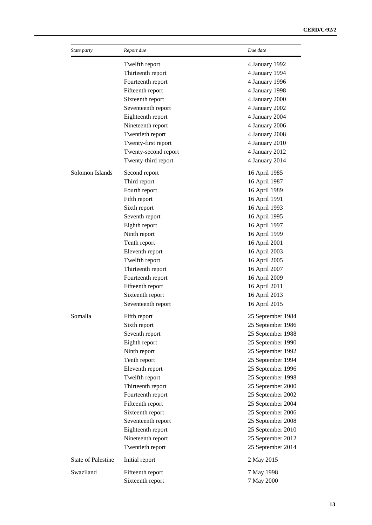| State party               | Report due                             | Due date          |
|---------------------------|----------------------------------------|-------------------|
|                           | Twelfth report                         | 4 January 1992    |
|                           | Thirteenth report                      | 4 January 1994    |
|                           | Fourteenth report                      | 4 January 1996    |
|                           | Fifteenth report                       | 4 January 1998    |
|                           | Sixteenth report                       | 4 January 2000    |
|                           | Seventeenth report                     | 4 January 2002    |
|                           | Eighteenth report                      | 4 January 2004    |
|                           | Nineteenth report                      | 4 January 2006    |
|                           | Twentieth report                       | 4 January 2008    |
|                           | Twenty-first report                    | 4 January 2010    |
|                           | Twenty-second report                   | 4 January 2012    |
|                           | Twenty-third report                    | 4 January 2014    |
| Solomon Islands           | Second report                          | 16 April 1985     |
|                           | Third report                           | 16 April 1987     |
|                           | Fourth report                          | 16 April 1989     |
|                           | Fifth report                           | 16 April 1991     |
|                           | Sixth report                           | 16 April 1993     |
|                           | Seventh report                         | 16 April 1995     |
|                           | Eighth report                          | 16 April 1997     |
|                           | Ninth report                           | 16 April 1999     |
|                           | Tenth report                           | 16 April 2001     |
|                           | Eleventh report                        | 16 April 2003     |
|                           | Twelfth report                         | 16 April 2005     |
|                           | Thirteenth report                      | 16 April 2007     |
|                           | Fourteenth report                      | 16 April 2009     |
|                           | Fifteenth report                       | 16 April 2011     |
|                           | Sixteenth report                       | 16 April 2013     |
|                           | Seventeenth report                     | 16 April 2015     |
| Somalia                   | Fifth report                           | 25 September 1984 |
|                           | Sixth report                           | 25 September 1986 |
|                           | Seventh report                         | 25 September 1988 |
|                           | Eighth report                          | 25 September 1990 |
|                           | Ninth report                           | 25 September 1992 |
|                           | Tenth report                           | 25 September 1994 |
|                           | Eleventh report                        | 25 September 1996 |
|                           | Twelfth report                         | 25 September 1998 |
|                           | Thirteenth report                      | 25 September 2000 |
|                           | Fourteenth report                      | 25 September 2002 |
|                           | Fifteenth report                       | 25 September 2004 |
|                           |                                        |                   |
|                           | Sixteenth report<br>Seventeenth report | 25 September 2006 |
|                           |                                        | 25 September 2008 |
|                           | Eighteenth report                      | 25 September 2010 |
|                           | Nineteenth report                      | 25 September 2012 |
|                           | Twentieth report                       | 25 September 2014 |
| <b>State of Palestine</b> | Initial report                         | 2 May 2015        |
| Swaziland                 | Fifteenth report                       | 7 May 1998        |
|                           | Sixteenth report                       | 7 May 2000        |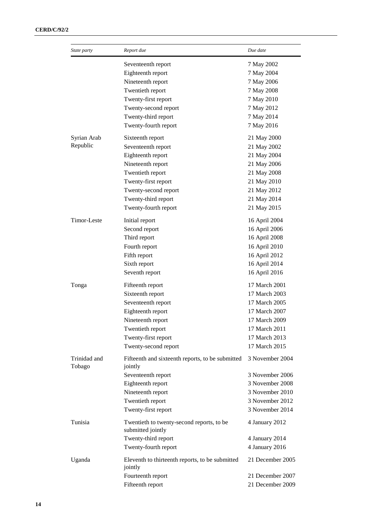| State party             | Report due                                                     | Due date         |
|-------------------------|----------------------------------------------------------------|------------------|
|                         | Seventeenth report                                             | 7 May 2002       |
|                         | Eighteenth report                                              | 7 May 2004       |
|                         | Nineteenth report                                              | 7 May 2006       |
|                         | Twentieth report                                               | 7 May 2008       |
|                         | Twenty-first report                                            | 7 May 2010       |
|                         | Twenty-second report                                           | 7 May 2012       |
|                         | Twenty-third report                                            | 7 May 2014       |
|                         | Twenty-fourth report                                           | 7 May 2016       |
| Syrian Arab<br>Republic | Sixteenth report                                               | 21 May 2000      |
|                         | Seventeenth report                                             | 21 May 2002      |
|                         | Eighteenth report                                              | 21 May 2004      |
|                         | Nineteenth report                                              | 21 May 2006      |
|                         | Twentieth report                                               | 21 May 2008      |
|                         | Twenty-first report                                            | 21 May 2010      |
|                         | Twenty-second report                                           | 21 May 2012      |
|                         | Twenty-third report                                            | 21 May 2014      |
|                         | Twenty-fourth report                                           | 21 May 2015      |
| <b>Timor-Leste</b>      | Initial report                                                 | 16 April 2004    |
|                         | Second report                                                  | 16 April 2006    |
|                         | Third report                                                   | 16 April 2008    |
|                         | Fourth report                                                  | 16 April 2010    |
|                         | Fifth report                                                   | 16 April 2012    |
|                         | Sixth report                                                   | 16 April 2014    |
|                         | Seventh report                                                 | 16 April 2016    |
| Tonga                   | Fifteenth report                                               | 17 March 2001    |
|                         | Sixteenth report                                               | 17 March 2003    |
|                         | Seventeenth report                                             | 17 March 2005    |
|                         | Eighteenth report                                              | 17 March 2007    |
|                         | Nineteenth report                                              | 17 March 2009    |
|                         | Twentieth report                                               | 17 March 2011    |
|                         | Twenty-first report                                            | 17 March 2013    |
|                         | Twenty-second report                                           | 17 March 2015    |
| Trinidad and<br>Tobago  | Fifteenth and sixteenth reports, to be submitted<br>jointly    | 3 November 2004  |
|                         | Seventeenth report                                             | 3 November 2006  |
|                         | Eighteenth report                                              | 3 November 2008  |
|                         | Nineteenth report                                              | 3 November 2010  |
|                         | Twentieth report                                               | 3 November 2012  |
|                         | Twenty-first report                                            | 3 November 2014  |
| Tunisia                 | Twentieth to twenty-second reports, to be<br>submitted jointly | 4 January 2012   |
|                         | Twenty-third report                                            | 4 January 2014   |
|                         | Twenty-fourth report                                           | 4 January 2016   |
| Uganda                  | Eleventh to thirteenth reports, to be submitted<br>jointly     | 21 December 2005 |
|                         | Fourteenth report                                              | 21 December 2007 |
|                         | Fifteenth report                                               | 21 December 2009 |
|                         |                                                                |                  |